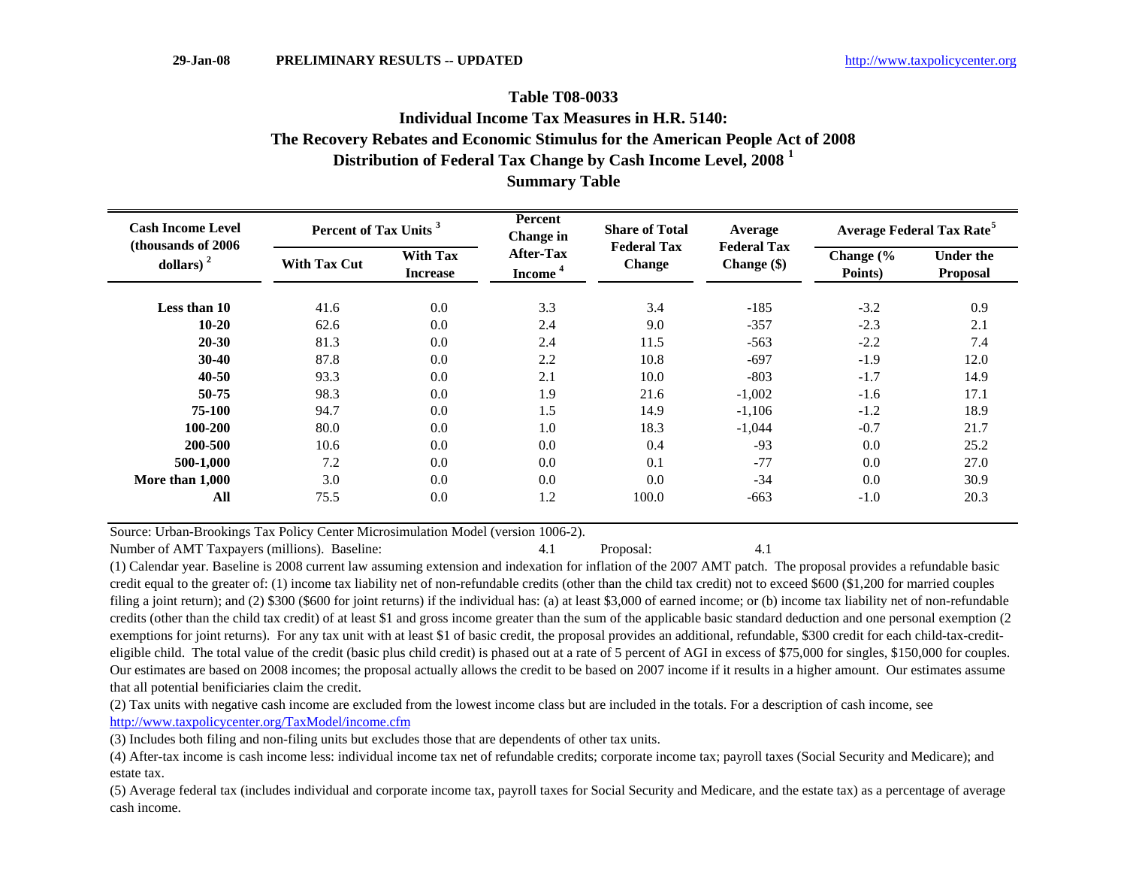## **The Recovery Rebates and Economic Stimulus for the American People Act of 2008 Table T08-0033Summary Table Distribution of Federal Tax Change by Cash Income Level, 2008 <sup>1</sup> Individual Income Tax Measures in H.R. 5140:**

| <b>Cash Income Level</b><br>(thousands of 2006)<br>dollars) $2$ | Percent of Tax Units <sup>3</sup> |                                    | Percent<br>Change in             | <b>Share of Total</b><br><b>Federal Tax</b> | Average<br><b>Federal Tax</b> | <b>Average Federal Tax Rate<sup>5</sup></b> |                                     |  |
|-----------------------------------------------------------------|-----------------------------------|------------------------------------|----------------------------------|---------------------------------------------|-------------------------------|---------------------------------------------|-------------------------------------|--|
|                                                                 | <b>With Tax Cut</b>               | <b>With Tax</b><br><b>Increase</b> | After-Tax<br>Income <sup>4</sup> | <b>Change</b>                               | Change (\$)                   | Change (%<br>Points)                        | <b>Under the</b><br><b>Proposal</b> |  |
| Less than 10                                                    | 41.6                              | 0.0                                | 3.3                              | 3.4                                         | $-185$                        | $-3.2$                                      | 0.9                                 |  |
| $10 - 20$                                                       | 62.6                              | 0.0                                | 2.4                              | 9.0                                         | $-357$                        | $-2.3$                                      | 2.1                                 |  |
| $20 - 30$                                                       | 81.3                              | 0.0                                | 2.4                              | 11.5                                        | $-563$                        | $-2.2$                                      | 7.4                                 |  |
| $30 - 40$                                                       | 87.8                              | 0.0                                | 2.2                              | 10.8                                        | $-697$                        | $-1.9$                                      | 12.0                                |  |
| $40 - 50$                                                       | 93.3                              | 0.0                                | 2.1                              | 10.0                                        | $-803$                        | $-1.7$                                      | 14.9                                |  |
| 50-75                                                           | 98.3                              | 0.0                                | 1.9                              | 21.6                                        | $-1,002$                      | $-1.6$                                      | 17.1                                |  |
| 75-100                                                          | 94.7                              | 0.0                                | 1.5                              | 14.9                                        | $-1,106$                      | $-1.2$                                      | 18.9                                |  |
| 100-200                                                         | 80.0                              | 0.0                                | 1.0                              | 18.3                                        | $-1,044$                      | $-0.7$                                      | 21.7                                |  |
| 200-500                                                         | 10.6                              | 0.0                                | 0.0                              | 0.4                                         | $-93$                         | 0.0                                         | 25.2                                |  |
| 500-1,000                                                       | 7.2                               | 0.0                                | 0.0                              | 0.1                                         | $-77$                         | 0.0                                         | 27.0                                |  |
| More than 1,000                                                 | 3.0                               | 0.0                                | 0.0                              | 0.0                                         | $-34$                         | 0.0                                         | 30.9                                |  |
| All                                                             | 75.5                              | 0.0                                | 1.2                              | 100.0                                       | $-663$                        | $-1.0$                                      | 20.3                                |  |

Source: Urban-Brookings Tax Policy Center Microsimulation Model (version 1006-2).

Number of AMT Taxpayers (millions). Baseline: 4.1 Proposal: 4.1

(1) Calendar year. Baseline is 2008 current law assuming extension and indexation for inflation of the 2007 AMT patch. The proposal provides a refundable basic credit equal to the greater of: (1) income tax liability net of non-refundable credits (other than the child tax credit) not to exceed \$600 (\$1,200 for married couples filing a joint return); and (2) \$300 (\$600 for joint returns) if the individual has: (a) at least \$3,000 of earned income; or (b) income tax liability net of non-refundable credits (other than the child tax credit) of at least \$1 and gross income greater than the sum of the applicable basic standard deduction and one personal exemption (2 exemptions for joint returns). For any tax unit with at least \$1 of basic credit, the proposal provides an additional, refundable, \$300 credit for each child-tax-crediteligible child. The total value of the credit (basic plus child credit) is phased out at a rate of 5 percent of AGI in excess of \$75,000 for singles, \$150,000 for couples. Our estimates are based on 2008 incomes; the proposal actually allows the credit to be based on 2007 income if it results in a higher amount. Our estimates assume that all potential benificiaries claim the credit.

(2) Tax units with negative cash income are excluded from the lowest income class but are included in the totals. For a description of cash income, see http://www.taxpolicycenter.org/TaxModel/income.cfm

(3) Includes both filing and non-filing units but excludes those that are dependents of other tax units.

(4) After-tax income is cash income less: individual income tax net of refundable credits; corporate income tax; payroll taxes (Social Security and Medicare); and estate tax.

(5) Average federal tax (includes individual and corporate income tax, payroll taxes for Social Security and Medicare, and the estate tax) as a percentage of average cash income.